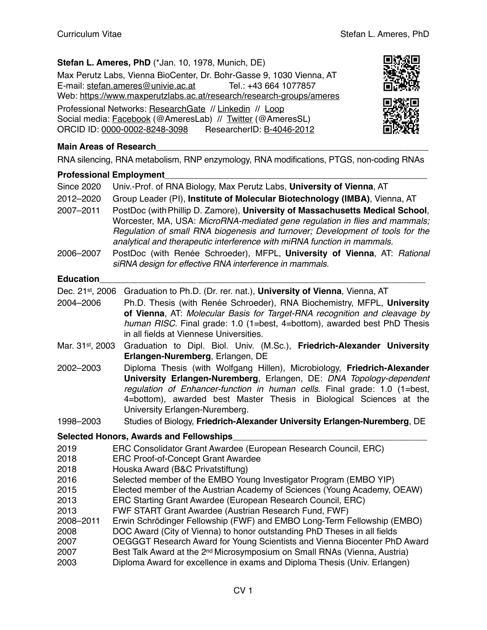# **Stefan L. Ameres, PhD** (\*Jan. 10, 1978, Munich, DE)

Max Perutz Labs, Vienna BioCenter, Dr. Bohr-Gasse 9, 1030 Vienna, AT E-mail: [stefan.ameres@univie.ac.at](mailto:stefan.ameres@univie.ac.at) Tel.: +43 664 1077857 Web: <https://www.maxperutzlabs.ac.at/research/research-groups/ameres> Professional Networks: [ResearchGate](https://www.researchgate.net/profile/Stefan_Amere) // [Linkedin](https://www.linkedin.com/in/stefan-ludwig-ameres/) // [Loop](https://loop.frontiersin.org/people/590694/overview) Social media: [Facebook](http://www.facebook.com/AmeresLab) (@AmeresLab) // [Twitter](http://twitter.com/AmeresSL) (@AmeresSL) ORCID ID: [0000-0002-8248-3098](http://orcid.org/0000-0002-8248-3098) ResearcherID: [B-4046-2012](http://www.researcherid.com/rid/B-4046-2012)





# **Main Areas of Research**

RNA silencing, RNA metabolism, RNP enzymology, RNA modifications, PTGS, non-coding RNAs

#### **Professional Employment\_\_\_\_\_\_\_\_\_\_\_\_\_\_\_\_\_\_\_\_\_\_\_\_\_\_\_\_\_\_\_\_\_\_\_\_\_\_\_\_\_\_\_\_\_\_\_\_\_\_\_\_\_\_**

| <b>Since 2020</b><br>2012-2020<br>2007-2011                       | Univ.-Prof. of RNA Biology, Max Perutz Labs, University of Vienna, AT<br>Group Leader (PI), Institute of Molecular Biotechnology (IMBA), Vienna, AT<br>PostDoc (with Phillip D. Zamore), University of Massachusetts Medical School,<br>Worcester, MA, USA: MicroRNA-mediated gene regulation in flies and mammals;<br>Regulation of small RNA biogenesis and turnover; Development of tools for the<br>analytical and therapeutic interference with miRNA function in mammals.                       |
|-------------------------------------------------------------------|-------------------------------------------------------------------------------------------------------------------------------------------------------------------------------------------------------------------------------------------------------------------------------------------------------------------------------------------------------------------------------------------------------------------------------------------------------------------------------------------------------|
| 2006-2007                                                         | PostDoc (with Renée Schroeder), MFPL, University of Vienna, AT: Rational<br>siRNA design for effective RNA interference in mammals.                                                                                                                                                                                                                                                                                                                                                                   |
| <b>Education</b>                                                  |                                                                                                                                                                                                                                                                                                                                                                                                                                                                                                       |
| Dec. 21st, 2006                                                   | Graduation to Ph.D. (Dr. rer. nat.), University of Vienna, Vienna, AT                                                                                                                                                                                                                                                                                                                                                                                                                                 |
| 2004-2006                                                         | Ph.D. Thesis (with Renée Schroeder), RNA Biochemistry, MFPL, University<br>of Vienna, AT: Molecular Basis for Target-RNA recognition and cleavage by<br>human RISC. Final grade: 1.0 (1=best, 4=bottom), awarded best PhD Thesis<br>in all fields at Viennese Universities.                                                                                                                                                                                                                           |
| Mar. 31st, 2003                                                   | Graduation to Dipl. Biol. Univ. (M.Sc.), Friedrich-Alexander University<br>Erlangen-Nuremberg, Erlangen, DE                                                                                                                                                                                                                                                                                                                                                                                           |
| 2002-2003                                                         | Diploma Thesis (with Wolfgang Hillen), Microbiology, Friedrich-Alexander<br>University Erlangen-Nuremberg, Erlangen, DE: DNA Topology-dependent<br>regulation of Enhancer-function in human cells. Final grade: 1.0 (1=best,<br>4=bottom), awarded best Master Thesis in Biological Sciences at the<br>University Erlangen-Nuremberg.                                                                                                                                                                 |
| 1998-2003                                                         | Studies of Biology, Friedrich-Alexander University Erlangen-Nuremberg, DE                                                                                                                                                                                                                                                                                                                                                                                                                             |
|                                                                   | <b>Selected Honors, Awards and Fellowships</b>                                                                                                                                                                                                                                                                                                                                                                                                                                                        |
| 2019<br>2018<br>2018<br>2016<br>2015<br>2013<br>2013<br>2008-2011 | ERC Consolidator Grant Awardee (European Research Council, ERC)<br><b>ERC Proof-of-Concept Grant Awardee</b><br>Houska Award (B&C Privatstiftung)<br>Selected member of the EMBO Young Investigator Program (EMBO YIP)<br>Elected member of the Austrian Academy of Sciences (Young Academy, OEAW)<br>ERC Starting Grant Awardee (European Research Council, ERC)<br>FWF START Grant Awardee (Austrian Research Fund, FWF)<br>Erwin Schrödinger Fellowship (FWF) and EMBO Long-Term Fellowship (EMBO) |

- 2008 DOC Award (City of Vienna) to honor outstanding PhD Theses in all fields
- 2007 OEGGGT Research Award for Young Scientists and [Vienna Biocenter PhD Award](https://www.training.vbc.ac.at/phd-programme/awards/vbc-phd-award/)
- 2007 Best Talk Award at the 2nd Microsymposium on Small RNAs (Vienna, Austria)
- 2003 Diploma Award for excellence in exams and Diploma Thesis (Univ. Erlangen)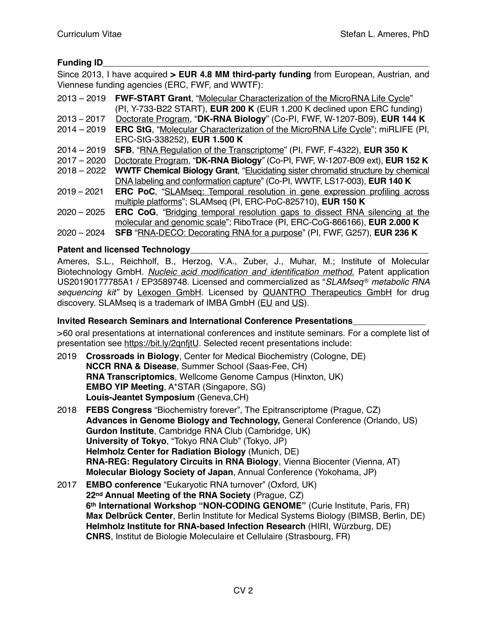# **Funding ID**

Since 2013, I have acquired **> EUR 4.8 MM third-party funding** from European, Austrian, and Viennese funding agencies (ERC, FWF, and WWTF):

| $2013 - 2019$ | FWF-START Grant, "Molecular Characterization of the MicroRNA Life Cycle"                |
|---------------|-----------------------------------------------------------------------------------------|
|               | (PI, Y-733-B22 START), EUR 200 K (EUR 1.200 K declined upon ERC funding)                |
| $2013 - 2017$ | Doctorate Program, "DK-RNA Biology" (Co-PI, FWF, W-1207-B09), EUR 144 K                 |
| $2014 - 2019$ | ERC StG, "Molecular Characterization of the MicroRNA Life Cycle"; miRLIFE (PI,          |
|               | ERC-StG-338252), EUR 1.500 K                                                            |
| $2014 - 2019$ | SFB, "RNA Regulation of the Transcriptome" (PI, FWF, F-4322), EUR 350 K                 |
| $2017 - 2020$ | Doctorate Program, "DK-RNA Biology" (Co-PI, FWF, W-1207-B09 ext), EUR 152 K             |
| $2018 - 2022$ | <b>WWTF Chemical Biology Grant, "Elucidating sister chromatid structure by chemical</b> |
|               | DNA labeling and conformation capture" (Co-PI, WWTF, LS17-003), EUR 140 K               |
| $2019 - 2021$ | ERC PoC, "SLAMseq: Temporal resolution in gene expression profiling across              |
|               | multiple platforms"; SLAMseq (PI, ERC-PoC-825710), EUR 150 K                            |
| $2020 - 2025$ | ERC CoG, "Bridging temporal resolution gaps to dissect RNA silencing at the             |
|               | molecular and genomic scale"; RiboTrace (PI, ERC-CoG-866166), EUR 2.000 K               |
| $2020 - 2024$ | SFB "RNA-DECO: Decorating RNA for a purpose" (PI, FWF, G257), EUR 236 K                 |

#### Patent and licensed Technology

Ameres, S.L., Reichholf, B., Herzog, V.A., Zuber, J., Muhar, M.; Institute of Molecular Biotechnology GmbH. *[Nucleic acid modification and identification method.](https://patentscope2.wipo.int/search/en/detail.jsf?docId=WO2018189367&tab=PCTBIBLIO&office=&prevFilter=&fq=OF:WO&sortOption=Pub+Date+Desc&queryString=&recNum=5343&maxRec=3401550)* Patent application US20190177785A1 / EP3589748. Licensed and commercialized as "*SLAMseq* ® *metabolic RNA sequencing kit"* by [Lexogen GmbH](https://www.lexogen.com/slamseq-metabolic-rna-labeling/). Licensed by QUANTRO Therapeutics GmbH for drug discovery. SLAMseq is a trademark of IMBA GmbH [\(EU](http://seeip.patentamt.at/MarkeSuche/Details/ce24b070-5207-4517-a9a7-72b33e156ba5) and [US](http://tsdr.uspto.gov/#caseNumber=79235946&caseType=SERIAL_NO&searchType=statusSearch)).

### **Invited Research Seminars and International Conference Presentations\_\_\_\_\_\_\_\_\_\_\_\_\_\_\_**

>60 oral presentations at international conferences and institute seminars. For a complete list of presentation see [https://bit.ly/2qnfjtU.](https://bit.ly/2qnfjtU) Selected recent presentations include:

- 2019 **Crossroads in Biology**, Center for Medical Biochemistry (Cologne, DE) **NCCR RNA & Disease**, Summer School (Saas-Fee, CH) **RNA Transcriptomics**, Wellcome Genome Campus (Hinxton, UK) **EMBO YIP Meeting**, A\*STAR (Singapore, SG) **Louis-Jeantet Symposium** (Geneva,CH)
- 2018 **FEBS Congress** "Biochemistry forever", The Epitranscriptome (Prague, CZ) **Advances in Genome Biology and Technology,** General Conference (Orlando, US) **Gurdon Institute**, Cambridge RNA Club (Cambridge, UK) **University of Tokyo**, "Tokyo RNA Club" (Tokyo, JP) **Helmholz Center for Radiation Biology** (Munich, DE) **RNA-REG: Regulatory Circuits in RNA Biology**, Vienna Biocenter (Vienna, AT) **Molecular Biology Society of Japan**, Annual Conference (Yokohama, JP)
- 2017 **EMBO conference** "Eukaryotic RNA turnover" (Oxford, UK) **22nd Annual Meeting of the RNA Society** (Prague, CZ) **6th International Workshop "NON-CODING GENOME"** (Curie Institute, Paris, FR) **Max Delbrück Center**, Berlin Institute for Medical Systems Biology (BIMSB, Berlin, DE) **Helmholz Institute for RNA-based Infection Research** (HIRI, Würzburg, DE) **CNRS**, Institut de Biologie Moleculaire et Cellulaire (Strasbourg, FR)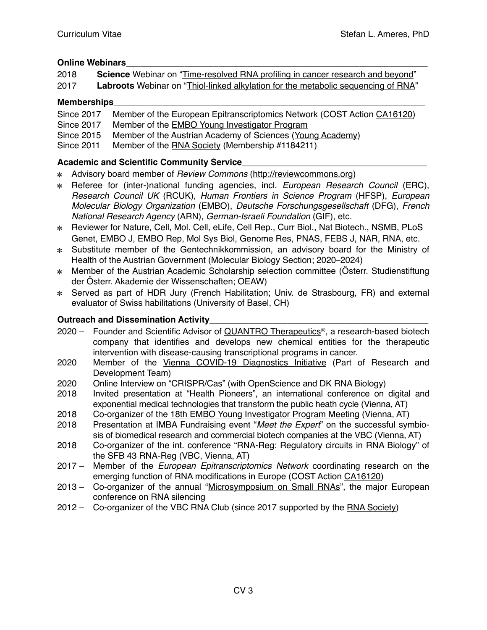# **Online Webinars**

| 2018 | <b>Science</b> Webinar on "Time-resolved RNA profiling in cancer research and beyond"    |
|------|------------------------------------------------------------------------------------------|
| 2017 | <b>Labroots</b> Webinar on "Thiol-linked alkylation for the metabolic sequencing of RNA" |

### **Memberships**\_\_\_\_\_\_\_\_\_\_\_\_\_\_\_\_\_\_\_\_\_\_\_\_\_\_\_\_\_\_\_\_\_\_\_\_\_\_\_\_\_\_\_\_\_\_\_\_\_\_\_\_\_\_\_\_\_\_\_\_\_\_\_\_

| Since 2017 | Member of the European Epitranscriptomics Network (COST Action CA16120) |
|------------|-------------------------------------------------------------------------|
|            |                                                                         |

- Since 2017 Member of the [EMBO Young Investigator Program](http://www.embo.org/funding-awards/young-investigators)
- Since 2015 Member of the Austrian Academy of Sciences [\(Young Academy\)](https://www.oeaw.ac.at/en/members-commissions/members-of-the-oeaw/divisions-and-young-academy/young-academy/)
- Since 2011 Member of the [RNA Society](https://www.rnasociety.org) (Membership #1184211)

# **Academic and Scientific Community Service**\_\_\_\_\_\_\_\_\_\_\_\_\_\_\_\_\_\_\_\_\_\_\_\_\_\_\_\_\_\_\_\_\_\_\_\_\_\_

- Advisory board member of *Review Commons* [\(http://reviewcommons.org\)](http://reviewcommons.org)
- Referee for (inter-)national funding agencies, incl. *European Research Council* (ERC), *Research Council UK* (RCUK), *Human Frontiers in Science Program* (HFSP), *European Molecular Biology Organization* (EMBO), *Deutsche Forschungsgesellschaft* (DFG), *French National Research Agency* (ARN), *German-Israeli Foundation* (GIF), etc.
- Reviewer for Nature, Cell, Mol. Cell, eLife, Cell Rep., Curr Biol., Nat Biotech., NSMB, PLoS Genet, EMBO J, EMBO Rep, Mol Sys Biol, Genome Res, PNAS, FEBS J, NAR, RNA, etc.
- Substitute member of the Gentechnikkommission, an advisory board for the Ministry of Health of the Austrian Government (Molecular Biology Section; 2020–2024)
- \* Member of the [Austrian Academic Scholarship](https://www.studienstiftung.at/#studienstiftung) selection committee (Österr. Studienstiftung der Österr. Akademie der Wissenschaften; OEAW)
- Served as part of HDR Jury (French Habilitation; Univ. de Strasbourg, FR) and external evaluator of Swiss habilitations (University of Basel, CH)

### **Outreach and Dissemination Activity**

- 2020 Founder and Scientific Advisor of [QUANTRO Therapeutics®](https://quantro-tx.com), a research-based biotech company that identifies and develops new chemical entities for the therapeutic intervention with disease-causing transcriptional programs in cancer.
- 2020 Member of the [Vienna COVID-19 Diagnostics Initiative](https://www.maxperutzlabs.ac.at/vcdi/organisation) (Part of Research and Development Team)
- 2020 Online Interview on "[CRISPR/Cas"](https://www.openscience.or.at/en/projects/project-news/2020-02-17-zndb/) (with [OpenScience](https://www.openscience.or.at/de/) and [DK RNA Biology\)](http://www.mfpl.ac.at/rna-biology/)
- 2018 Invited presentation at "Health Pioneers", an international conference on digital and exponential medical technologies that transform the public heath cycle (Vienna, AT)
- 2018 Co-organizer of the [18th EMBO Young Investigator Program Meeting](http://www.embo.org/funding-awards/young-investigators/embo-young-investigator-meeting) (Vienna, AT)
- 2018 Presentation at IMBA Fundraising event "*Meet the Expert*" on the successful symbiosis of biomedical research and commercial biotech companies at the VBC (Vienna, AT)
- 2018 Co-organizer of the int. conference "RNA-Reg: Regulatory circuits in RNA Biology" of the SFB 43 RNA-Reg (VBC, Vienna, AT)
- 2017 Member of the *European Epitranscriptomics Network* coordinating research on the emerging function of RNA modifications in Europe (COST Action [CA16120\)](http://www.cost.eu/COST_Actions/ca/CA16120?)
- 2013 Co-organizer of the annual "[Microsymposium on Small RNAs"](https://www.imba.oeaw.ac.at/seminars-events/symposia-conferences/microsymposium/), the major European conference on RNA silencing
- 2012 Co-organizer of the VBC RNA Club (since 2017 supported by the [RNA Society\)](https://www.rnasociety.org/News/successful-2017-2018-rna-salon-applications/)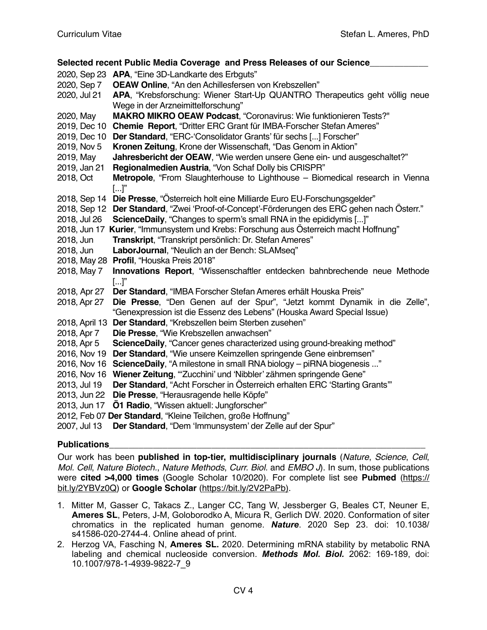#### **Selected recent Public Media Coverage and Press Releases of our Science**\_\_\_\_\_\_\_\_\_\_\_\_ 2020, Sep 23 **APA**, "[Eine 3D-Landkarte des Erbguts"](https://www.ots.at/presseaussendung/OTS_20200923_OTS0201/eine-3d-landkarte-des-erbguts) 2020, Sep 7 **OEAW Online**, ["An den Achillesfersen von Krebszellen"](https://www.oeaw.ac.at/detail/news/an-den-achillesfersen-von-krebszellen/) 2020, Jul 21 **APA**[, "Krebsforschung: Wiener Start-Up QUANTRO Therapeutics geht völlig neue](https://science.apa.at/site/kultur_und_gesellschaft/detail?key=SCI_20200721_SCI39451352255594544)  [Wege in der Arzneimittelforschung"](https://science.apa.at/site/kultur_und_gesellschaft/detail?key=SCI_20200721_SCI39451352255594544) 2020, May **MAKRO MIKRO OEAW Podcast**, ["Coronavirus: Wie funktionieren Tests?"](https://soundcloud.com/makro-mikro/coronavirus-wie-funktionieren-tests-makro-mikro-30) 2019, Dec 10 **Chemie Report**, ["Dritter ERC Grant für IMBA-Forscher Stefan Ameres"](https://www.chemiereport.at/dritter-erc-grant-fuer-imba-forscher-stefan-ameres) 2019, Dec 10 **Der Standard**, ["ERC-'Consolidator Grants' für sechs \[...\] Forscher"](https://www.derstandard.at/story/2000112097707/erc-consolidator-grantsechs-in-oesterreich-taetige-forscher-erhalten) 2019, Nov 5 **Kronen Zeitung**, Krone der Wissenschaft, ["Das Genom in Aktion"](https://www.dropbox.com/s/xut9mwwecw9ube7/IMB_A000021_20191105_41_731157292910239150232.pdf?dl=0) 2019, May **Jahresbericht der OEAW**, ["Wie werden unsere Gene ein- und ausgeschaltet?"](https://www.oeaw.ac.at/fileadmin/NEWS/2019/PDF/oeaw_jahresbericht_2018.pdf) 2019, Jan 21 **Regionalmedien Austria**, "[Von Schaf Dolly bis CRISPR"](https://www.meinbezirk.at/wien/c-wirtschaft/von-schaf-dolly-bis-crispr_a3124839) 2018, Oct **Metropole**, ["From Slaughterhouse to Lighthouse – Biomedical research in Vienna](https://metropole.at/science-from-slaughterhouse-to-lighthouse/)   $\left[\ldots\right]$ " 2018, Sep 14 **Die Presse**, ["Österreich holt eine Milliarde Euro EU-Forschungsgelder"](https://diepresse.com/home/science/5496840/Oesterreich-holte-eine-Milliarde-Euro-EUForschungsgelder) 2018, Sep 12 **Der Standard**, ["Zwei 'Proof-of-Concept'-Förderungen des ERC gehen nach Österr."](https://derstandard.at/2000087186024/Zwei-Proof-of-Concept-Foerderungen-des-ERC-gehen-nach-Oesterreich) 2018, Jul 26 **ScienceDaily**, ["Changes to sperm's small RNA in the epididymis \[...\]"](https://www.sciencedaily.com/releases/2018/07/180726162746.htm) 2018, Jun 17 **Kurier**, "[Immunsystem und Krebs: Forschung aus Österreich macht Hoffnung"](https://kurier.at/wissen/gesundheit/immunsystem-und-krebs-forschung-aus-oesterreich-macht-hoffnung/400052186) 2018, Jun **Transkript**, ["Transkript persönlich: Dr. Stefan Ameres"](https://www.dropbox.com/s/huus3jmeo916s8y/Doc%20-%2004.12.2019%20-%2010-37.pdf?dl=0) 2018, Jun **LaborJournal**, "[Neulich an der Bench: SLAMseq"](https://www.laborjournal.de/rubric/methoden/methoden/v199.php) 2018, May 28 **Profil**, "Houska Preis 2018" 2018, May 7 **Innovations Report**, "[Wissenschaftler entdecken bahnbrechende neue Methode](https://www.innovations-report.de/html/berichte/biowissenschaften-chemie/wissenschaftler-entdecken-bahnbrechende-neue-methode-zur-charakterisierung-von-krebsgenen.html)   $\left[\ldots\right]$ " 2018, Apr 27 **Der Standard**, ["IMBA Forscher Stefan Ameres erhält Houska Preis"](https://derstandard.at/2000078779175/IMBA-Forscher-Stefan-Ameres-erhaelt-Houskapreis) 2018, Apr 27 **Die Presse**, ["Den Genen auf der Spur", "Jetzt kommt Dynamik in die Zelle",](https://www.dropbox.com/s/wjjqxaqszp4p8lo/1804_Houskapreis_Sonderbeilage_DiePresse.pdf?dl=0)  ["Genexpression ist die Essenz des Lebens"](https://www.dropbox.com/s/wjjqxaqszp4p8lo/1804_Houskapreis_Sonderbeilage_DiePresse.pdf?dl=0) (Houska Award Special Issue) 2018, April 13 **Der Standard**, ["Krebszellen beim Sterben zusehen"](https://derstandard.at/2000077748015/Revolutionaere-Technologie-Krebszellen-beim-Sterben-zusehen) 2018, Apr 7 **Die Presse**, ["Wie Krebszellen anwachsen"](https://www.pressreader.com/austria/die-presse/20180407/282136406980568) 2018, Apr 5 **ScienceDaily**, ["Cancer genes characterized using ground-breaking method"](https://www.sciencedaily.com/releases/2018/04/180405141045.htm) 2016, Nov 19 **Der Standard**, ["Wie unsere Keimzellen springende Gene einbremsen"](https://derstandard.at/2000047680674/Wie-unsere-Keimzellen-springende-Gene-einbremsen) 2016, Nov 16 **ScienceDaily**, ["A milestone in small RNA biology – piRNA biogenesis ..."](https://www.sciencedaily.com/releases/2016/11/161116132811.htm) 2016, Nov 16 **Wiener Zeitung**, "['Zucchini' und 'Nibbler' zähmen springende Gene"](https://www.wienerzeitung.at/themen_channel/wissen/forschung/856664_Zucchini-und-Nibbler-zaehmen-springende-Gene.html) 2013, Jul 19 **Der Standard**, ["Acht Forscher in Österreich erhalten ERC 'Starting Grants'"](https://derstandard.at/1373512995916/Forscher-in-Wien-und-Linz-erhalten-ERC-Starting-Grants) 2013, Jun 22 **Die Presse**, ["Herausragende helle Köpfe"](https://diepresse.com/home/science/1421774/Herausragende-helle-Koepfe) 2013, Jun 17 **Ö1 Radio**, "Wissen aktuell: Jungforscher" 2012, Feb 07 **Der Standard**, ["Kleine Teilchen, große Hoffnung"](https://derstandard.at/1328507151571/RNAs-Kleine-Teilchen-grosse-Hoffnung) 2007, Jul 13 **Der Standard**, ["Dem 'Immunsystem' der Zelle auf der Spur"](https://derstandard.at/2957944/Dem-Immunsystem-der-Zelle-auf-der-Spur)

#### **Publications**

Our work has been **published in top-tier, multidisciplinary journals** (*Nature*, *Science*, *Cell*, *Mol. Cell*, *Nature Biotech.*, *Nature Methods*, *Curr. Biol.* and *EMBO J*). In sum, those publications were **cited >4,000 times** (Google Scholar 10/2020). For complete list see **Pubmed** ([https://](https://bit.ly/2YBVz0Q) [bit.ly/2YBVz0Q\)](https://bit.ly/2YBVz0Q) or **Google Scholar** [\(https://bit.ly/2V2PaPb](https://bit.ly/2V2PaPb)).

- 1. Mitter M, Gasser C, Takacs Z., Langer CC, Tang W, Jessberger G, Beales CT, Neuner E, **Ameres SL**, Peters, J-M, Goloborodko A, Micura R, Gerlich DW. 2020. Conformation of siter chromatics in the replicated human genome. *Nature*. 2020 Sep 23. doi: 10.1038/ s41586-020-2744-4. Online ahead of print.
- 2. Herzog VA, Fasching N, **Ameres SL.** 2020. Determining mRNA stability by metabolic RNA labeling and chemical nucleoside conversion. *Methods Mol. Biol.* 2062: 169-189, doi: 10.1007/978-1-4939-9822-7\_9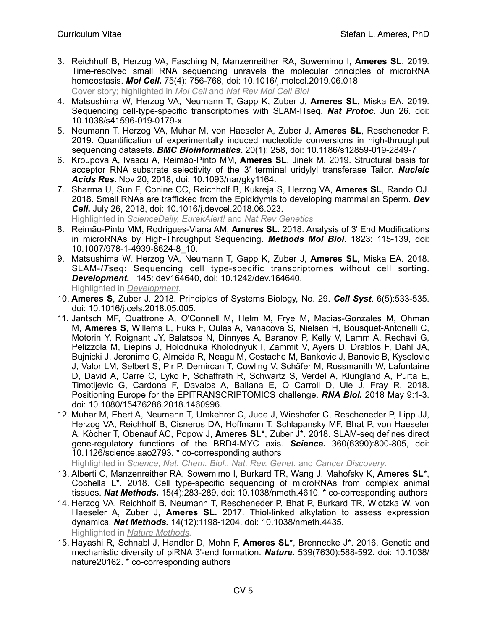- 3. Reichholf B, Herzog VA, Fasching N, Manzenreither RA, Sowemimo I, **Ameres SL**. 2019. Time-resolved small RNA sequencing unravels the molecular principles of microRNA homeostasis. *Mol Cell***.** 75(4): 756-768, doi: 10.1016/j.molcel.2019.06.018 [Cover story](https://www.cell.com/molecular-cell/issue?pii=S1097-2765(18)X0017-3#fullCover); highlighted in *[Mol Cell](https://www.cell.com/molecular-cell/fulltext/S1097-2765(19)30617-3?dgcid=raven_jbs_etoc_email)* and *[Nat Rev Mol Cell Biol](https://www.nature.com/articles/s41580-019-0164-9)*
- 4. Matsushima W, Herzog VA, Neumann T, Gapp K, Zuber J, **Ameres SL**, Miska EA. 2019. Sequencing cell-type-specific transcriptomes with SLAM-ITseq. *Nat Protoc.* Jun 26. doi: 10.1038/s41596-019-0179-x.
- 5. Neumann T, Herzog VA, Muhar M, von Haeseler A, Zuber J, **Ameres SL**, Rescheneder P. 2019. Quantification of experimentally induced nucleotide conversions in high-throughput sequencing datasets. *BMC Bioinformatics***.** 20(1): 258, doi: 10.1186/s12859-019-2849-7
- 6. Kroupova A, Ivascu A, Reimão-Pinto MM, **Ameres SL**, Jinek M. 2019. Structural basis for acceptor RNA substrate selectivity of the 3′ terminal uridylyl transferase Tailor. *Nucleic Acids Res***.** Nov 20, 2018, doi: 10.1093/nar/gky1164.
- 7. Sharma U, Sun F, Conine CC, Reichholf B, Kukreja S, Herzog VA, **Ameres SL**, Rando OJ. 2018. Small RNAs are trafficked from the Epididymis to developing mammalian Sperm. *Dev Cell***.** July 26, 2018, doi: 10.1016/j.devcel.2018.06.023. Highlighted in *[ScienceDaily,](https://www.sciencedaily.com/releases/2018/07/180726162746.htm) [EurekAlert!](https://www.eurekalert.org/pub_releases/2018-07/cp-cts071918.php)* and *[Nat Rev Genetics](https://www.nature.com/articles/s41576-018-0042-x)*
- 8. Reimão-Pinto MM, Rodrigues-Viana AM, **Ameres SL**. 2018. Analysis of 3' End Modifications in microRNAs by High-Throughput Sequencing. *Methods Mol Biol***.** 1823: 115-139, doi: 10.1007/978-1-4939-8624-8\_10.
- 9. Matsushima W, Herzog VA, Neumann T, Gapp K, Zuber J, **Ameres SL**, Miska EA. 2018. SLAM-*IT*seq: Sequencing cell type-specific transcriptomes without cell sorting. *Development***.** 145: dev164640, doi: 10.1242/dev.164640. Highlighted in *[Development](http://dev.biologists.org/content/145/13/e1303)*.
- 10. **Ameres S**, Zuber J. 2018. Principles of Systems Biology, No. 29. *Cell Syst*. 6(5):533-535. doi: 10.1016/j.cels.2018.05.005.
- 11. Jantsch MF, Quattrone A, O'Connell M, Helm M, Frye M, Macias-Gonzales M, Ohman M, **Ameres S**, Willems L, Fuks F, Oulas A, Vanacova S, Nielsen H, Bousquet-Antonelli C, Motorin Y, Roignant JY, Balatsos N, Dinnyes A, Baranov P, Kelly V, Lamm A, Rechavi G, Pelizzola M, Liepins J, Holodnuka Kholodnyuk I, Zammit V, Ayers D, Drablos F, Dahl JA, Bujnicki J, Jeronimo C, Almeida R, Neagu M, Costache M, Bankovic J, Banovic B, Kyselovic J, Valor LM, Selbert S, Pir P, Demircan T, Cowling V, Schäfer M, Rossmanith W, Lafontaine D, David A, Carre C, Lyko F, Schaffrath R, Schwartz S, Verdel A, Klungland A, Purta E, Timotijevic G, Cardona F, Davalos A, Ballana E, O Carroll D, Ule J, Fray R. 2018. Positioning Europe for the EPITRANSCRIPTOMICS challenge. *RNA Biol***.** 2018 May 9:1-3. doi: 10.1080/15476286.2018.1460996.
- 12. Muhar M, Ebert A, Neumann T, Umkehrer C, Jude J, Wieshofer C, Rescheneder P, Lipp JJ, Herzog VA, Reichholf B, Cisneros DA, Hoffmann T, Schlapansky MF, Bhat P, von Haeseler A, Köcher T, Obenauf AC, Popow J, **Ameres SL**\*, Zuber J\*. 2018. SLAM-seq defines direct gene-regulatory functions of the BRD4-MYC axis. *Science***.** 360(6390):800-805, doi: 10.1126/science.aao2793. \* co-corresponding authors

Highlighted in *[Science](http://science.sciencemag.org/content/360/6390/713.long)*, *[Nat. Chem. Biol.](https://www.nature.com/articles/s41589-018-0074-8)*, *[Nat. Rev. Genet.](https://www.nature.com/articles/s41576-018-0010-5)* and *[Cancer Discovery](http://cancerdiscovery.aacrjournals.org/content/early/2018/04/13/2159-8290.CD-RW2018-064)*.

- 13. Alberti C, Manzenreither RA, Sowemimo I, Burkard TR, Wang J, Mahofsky K, **Ameres SL**\*, Cochella L\*. 2018. Cell type-specific sequencing of microRNAs from complex animal tissues. *Nat Methods.* 15(4):283-289, doi: 10.1038/nmeth.4610. \* co-corresponding authors
- 14. Herzog VA, Reichholf B, Neumann T, Rescheneder P, Bhat P, Burkard TR, Wlotzka W, von Haeseler A, Zuber J, **Ameres SL.** 2017. Thiol-linked alkylation to assess expression dynamics. *Nat Methods.* 14(12):1198-1204. doi: 10.1038/nmeth.4435. Highlighted in *[Nature Methods.](https://www.nature.com/articles/nmeth.4608)*
- 15. Hayashi R, Schnabl J, Handler D, Mohn F, **Ameres SL**\*, Brennecke J\*. 2016. Genetic and mechanistic diversity of piRNA 3'-end formation. *Nature.* 539(7630):588-592. doi: 10.1038/ nature20162. \* co-corresponding authors